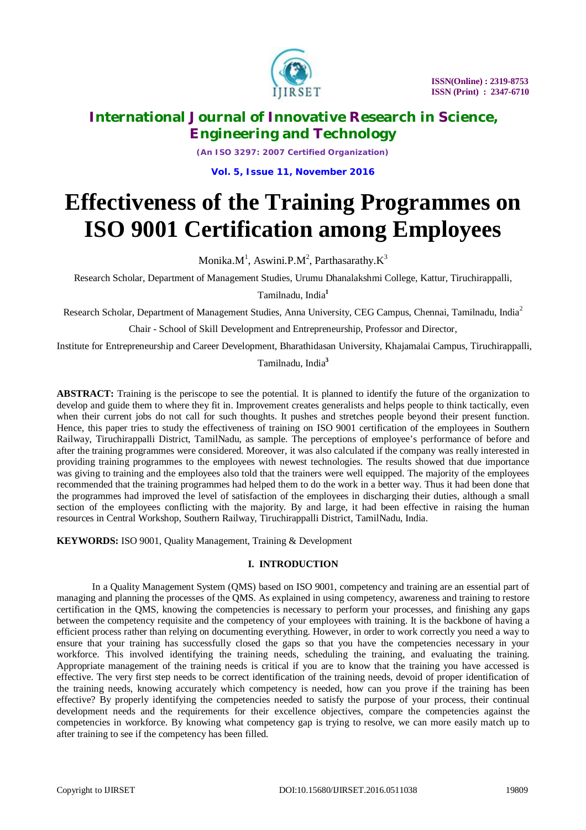

*(An ISO 3297: 2007 Certified Organization)*

**Vol. 5, Issue 11, November 2016**

# **Effectiveness of the Training Programmes on ISO 9001 Certification among Employees**

Monika. $M^1$ , Aswini.P.M<sup>2</sup>, Parthasarathy. $K^3$ 

Research Scholar, Department of Management Studies, Urumu Dhanalakshmi College, Kattur, Tiruchirappalli,

Tamilnadu, India**<sup>1</sup>**

Research Scholar, Department of Management Studies, Anna University, CEG Campus, Chennai, Tamilnadu, India<sup>2</sup>

Chair - School of Skill Development and Entrepreneurship, Professor and Director,

Institute for Entrepreneurship and Career Development, Bharathidasan University, Khajamalai Campus, Tiruchirappalli,

Tamilnadu, India**<sup>3</sup>**

**ABSTRACT:** Training is the periscope to see the potential. It is planned to identify the future of the organization to develop and guide them to where they fit in. Improvement creates generalists and helps people to think tactically, even when their current jobs do not call for such thoughts. It pushes and stretches people beyond their present function. Hence, this paper tries to study the effectiveness of training on ISO 9001 certification of the employees in Southern Railway, Tiruchirappalli District, TamilNadu, as sample. The perceptions of employee's performance of before and after the training programmes were considered. Moreover, it was also calculated if the company was really interested in providing training programmes to the employees with newest technologies. The results showed that due importance was giving to training and the employees also told that the trainers were well equipped. The majority of the employees recommended that the training programmes had helped them to do the work in a better way. Thus it had been done that the programmes had improved the level of satisfaction of the employees in discharging their duties, although a small section of the employees conflicting with the majority. By and large, it had been effective in raising the human resources in Central Workshop, Southern Railway, Tiruchirappalli District, TamilNadu, India.

**KEYWORDS:** ISO 9001, Quality Management, Training & Development

### **I. INTRODUCTION**

In a Quality Management System (QMS) based on ISO 9001, competency and training are an essential part of managing and planning the processes of the QMS. As explained in using competency, awareness and training to restore certification in the QMS, knowing the competencies is necessary to perform your processes, and finishing any gaps between the competency requisite and the competency of your employees with training. It is the backbone of having a efficient process rather than relying on documenting everything. However, in order to work correctly you need a way to ensure that your training has successfully closed the gaps so that you have the competencies necessary in your workforce. This involved identifying the training needs, scheduling the training, and evaluating the training. Appropriate management of the training needs is critical if you are to know that the training you have accessed is effective. The very first step needs to be correct identification of the training needs, devoid of proper identification of the training needs, knowing accurately which competency is needed, how can you prove if the training has been effective? By properly identifying the competencies needed to satisfy the purpose of your process, their continual development needs and the requirements for their excellence objectives, compare the competencies against the competencies in workforce. By knowing what competency gap is trying to resolve, we can more easily match up to after training to see if the competency has been filled.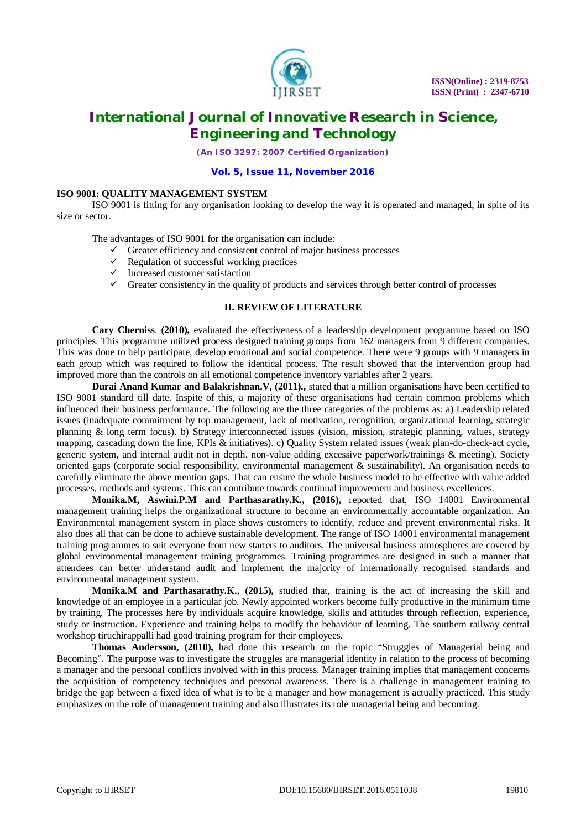

*(An ISO 3297: 2007 Certified Organization)*

#### **Vol. 5, Issue 11, November 2016**

#### **ISO 9001: QUALITY MANAGEMENT SYSTEM**

ISO 9001 is fitting for any organisation looking to develop the way it is operated and managed, in spite of its size or sector.

The advantages of ISO 9001 for the organisation can include:

- $\checkmark$  Greater efficiency and consistent control of major business processes
- Regulation of successful working practices
- $\checkmark$  Increased customer satisfaction
- $\checkmark$  Greater consistency in the quality of products and services through better control of processes

#### **II. REVIEW OF LITERATURE**

**Cary Cherniss**. **(2010),** evaluated the effectiveness of a leadership development programme based on ISO principles. This programme utilized process designed training groups from 162 managers from 9 different companies. This was done to help participate, develop emotional and social competence. There were 9 groups with 9 managers in each group which was required to follow the identical process. The result showed that the intervention group had improved more than the controls on all emotional competence inventory variables after 2 years.

**Durai Anand Kumar and Balakrishnan.V, (2011).**, stated that a million organisations have been certified to ISO 9001 standard till date. Inspite of this, a majority of these organisations had certain common problems which influenced their business performance. The following are the three categories of the problems as: a) Leadership related issues (inadequate commitment by top management, lack of motivation, recognition, organizational learning, strategic planning & long term focus). b) Strategy interconnected issues (vision, mission, strategic planning, values, strategy mapping, cascading down the line, KPIs & initiatives). c) Quality System related issues (weak plan-do-check-act cycle, generic system, and internal audit not in depth, non-value adding excessive paperwork/trainings & meeting). Society oriented gaps (corporate social responsibility, environmental management & sustainability). An organisation needs to carefully eliminate the above mention gaps. That can ensure the whole business model to be effective with value added processes, methods and systems. This can contribute towards continual improvement and business excellences.

**Monika.M, Aswini.P.M and Parthasarathy.K., (2016),** reported that, ISO 14001 Environmental management training helps the organizational structure to become an environmentally accountable organization. An Environmental management system in place shows customers to identify, reduce and prevent environmental risks. It also does all that can be done to achieve sustainable development. The range of ISO 14001 environmental management training programmes to suit everyone from new starters to auditors. The universal business atmospheres are covered by global environmental management training programmes. Training programmes are designed in such a manner that attendees can better understand audit and implement the majority of internationally recognised standards and environmental management system.

**Monika.M and Parthasarathy.K., (2015),** studied that, training is the act of increasing the skill and knowledge of an employee in a particular job. Newly appointed workers become fully productive in the minimum time by training. The processes here by individuals acquire knowledge, skills and attitudes through reflection, experience, study or instruction. Experience and training helps to modify the behaviour of learning. The southern railway central workshop tiruchirappalli had good training program for their employees.

**Thomas Andersson, (2010),** had done this research on the topic "Struggles of Managerial being and Becoming". The purpose was to investigate the struggles are managerial identity in relation to the process of becoming a manager and the personal conflicts involved with in this process. Manager training implies that management concerns the acquisition of competency techniques and personal awareness. There is a challenge in management training to bridge the gap between a fixed idea of what is to be a manager and how management is actually practiced. This study emphasizes on the role of management training and also illustrates its role managerial being and becoming.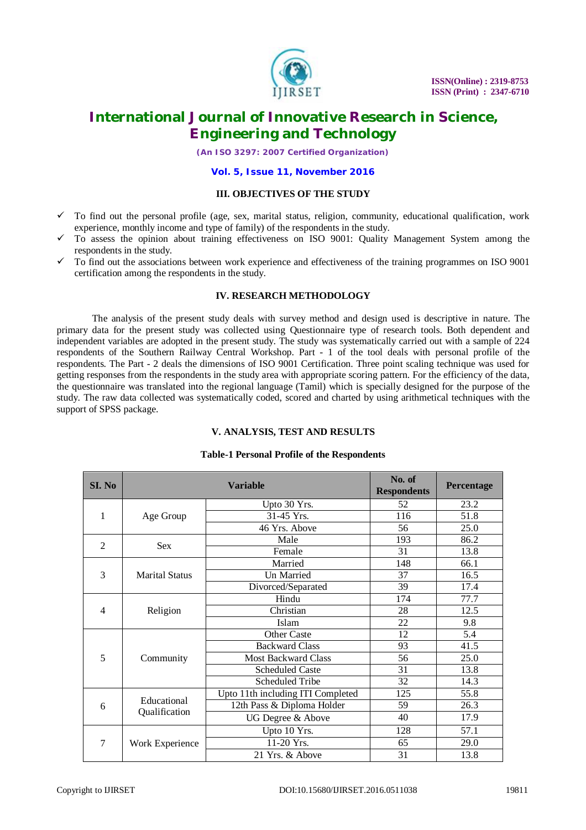

*(An ISO 3297: 2007 Certified Organization)*

#### **Vol. 5, Issue 11, November 2016**

#### **III. OBJECTIVES OF THE STUDY**

- $\checkmark$  To find out the personal profile (age, sex, marital status, religion, community, educational qualification, work experience, monthly income and type of family) of the respondents in the study.
- $\checkmark$  To assess the opinion about training effectiveness on ISO 9001: Quality Management System among the respondents in the study.
- $\checkmark$  To find out the associations between work experience and effectiveness of the training programmes on ISO 9001 certification among the respondents in the study.

### **IV. RESEARCH METHODOLOGY**

The analysis of the present study deals with survey method and design used is descriptive in nature. The primary data for the present study was collected using Questionnaire type of research tools. Both dependent and independent variables are adopted in the present study. The study was systematically carried out with a sample of 224 respondents of the Southern Railway Central Workshop. Part - 1 of the tool deals with personal profile of the respondents. The Part - 2 deals the dimensions of ISO 9001 Certification. Three point scaling technique was used for getting responses from the respondents in the study area with appropriate scoring pattern. For the efficiency of the data, the questionnaire was translated into the regional language (Tamil) which is specially designed for the purpose of the study. The raw data collected was systematically coded, scored and charted by using arithmetical techniques with the support of SPSS package.

### **V. ANALYSIS, TEST AND RESULTS**

#### **Table-1 Personal Profile of the Respondents**

| SI. No         |                       | <b>Variable</b>                   | No. of<br><b>Respondents</b> | Percentage |
|----------------|-----------------------|-----------------------------------|------------------------------|------------|
|                |                       | Upto 30 Yrs.                      | 52                           | 23.2       |
| $\mathbf{1}$   | Age Group             | 31-45 Yrs.                        | 116                          | 51.8       |
|                |                       | 46 Yrs. Above                     | 56                           | 25.0       |
| $\overline{2}$ | <b>Sex</b>            | Male                              | 193                          | 86.2       |
|                |                       | Female                            | 31                           | 13.8       |
|                |                       | Married                           | 148                          | 66.1       |
| 3              | <b>Marital Status</b> | Un Married                        | 37                           | 16.5       |
|                |                       | Divorced/Separated                | 39                           | 17.4       |
|                |                       | Hindu                             | 174                          | 77.7       |
| 4              | Religion              | Christian                         | 28                           | 12.5       |
|                |                       | Islam                             | 22                           | 9.8        |
|                |                       | <b>Other Caste</b>                | 12                           | 5.4        |
|                |                       | <b>Backward Class</b>             | 93                           | 41.5       |
| 5              | Community             | <b>Most Backward Class</b>        | 56                           | 25.0       |
|                |                       | <b>Scheduled Caste</b>            | 31                           | 13.8       |
|                |                       | Scheduled Tribe                   | 32                           | 14.3       |
|                |                       | Upto 11th including ITI Completed | 125                          | 55.8       |
| 6              | Educational           | 12th Pass & Diploma Holder        | 59                           | 26.3       |
|                | Qualification         | UG Degree & Above                 | 40                           | 17.9       |
|                |                       | Upto 10 Yrs.                      | 128                          | 57.1       |
| 7              | Work Experience       | 11-20 Yrs.                        | 65                           | 29.0       |
|                |                       | 21 Yrs. & Above                   | 31                           | 13.8       |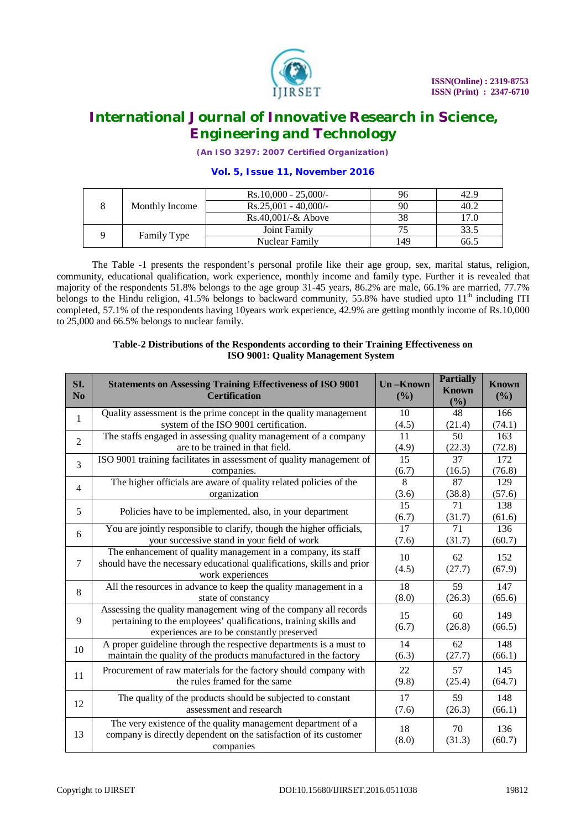

*(An ISO 3297: 2007 Certified Organization)*

### **Vol. 5, Issue 11, November 2016**

|  |                | $Rs.10,000 - 25,000/$ |     | 42.9 |
|--|----------------|-----------------------|-----|------|
|  | Monthly Income | $Rs.25,001 - 40,000/$ | 90  | 40.2 |
|  |                | $Rs.40,001/-& Above$  |     | 17.0 |
|  |                | Joint Family          |     | 33.5 |
|  | Family Type    | Nuclear Family        | 149 | 66.5 |

The Table -1 presents the respondent's personal profile like their age group, sex, marital status, religion, community, educational qualification, work experience, monthly income and family type. Further it is revealed that majority of the respondents 51.8% belongs to the age group 31-45 years, 86.2% are male, 66.1% are married, 77.7% belongs to the Hindu religion, 41.5% belongs to backward community, 55.8% have studied upto 11<sup>th</sup> including ITI completed, 57.1% of the respondents having 10years work experience, 42.9% are getting monthly income of Rs.10,000 to 25,000 and 66.5% belongs to nuclear family.

# **Table-2 Distributions of the Respondents according to their Training Effectiveness on ISO 9001: Quality Management System**

| SI.<br>N <sub>0</sub> | <b>Statements on Assessing Training Effectiveness of ISO 9001</b><br><b>Certification</b>                                                                                          | <b>Un-Known</b><br>(%)   | <b>Partially</b><br><b>Known</b><br>(%) | <b>Known</b><br>(%) |
|-----------------------|------------------------------------------------------------------------------------------------------------------------------------------------------------------------------------|--------------------------|-----------------------------------------|---------------------|
| $\mathbf{1}$          | Quality assessment is the prime concept in the quality management                                                                                                                  | 10                       | 48                                      | 166                 |
|                       | system of the ISO 9001 certification.                                                                                                                                              | (4.5)                    | (21.4)                                  | (74.1)              |
| $\overline{2}$        | The staffs engaged in assessing quality management of a company                                                                                                                    | 11                       | 50                                      | 163                 |
|                       | are to be trained in that field.                                                                                                                                                   | (4.9)                    | (22.3)                                  | (72.8)              |
| 3                     | ISO 9001 training facilitates in assessment of quality management of                                                                                                               | 15                       | 37                                      | 172                 |
|                       | companies.                                                                                                                                                                         | (6.7)                    | (16.5)                                  | (76.8)              |
| $\overline{4}$        | The higher officials are aware of quality related policies of the                                                                                                                  | 8                        | 87                                      | 129                 |
|                       | organization                                                                                                                                                                       | (3.6)                    | (38.8)                                  | (57.6)              |
| 5                     | Policies have to be implemented, also, in your department                                                                                                                          | $\overline{15}$<br>(6.7) | 71<br>(31.7)                            | 138<br>(61.6)       |
| 6                     | You are jointly responsible to clarify, though the higher officials,                                                                                                               | 17                       | 71                                      | 136                 |
|                       | your successive stand in your field of work                                                                                                                                        | (7.6)                    | (31.7)                                  | (60.7)              |
| $\tau$                | The enhancement of quality management in a company, its staff<br>should have the necessary educational qualifications, skills and prior<br>work experiences                        | 10<br>(4.5)              | 62<br>(27.7)                            | 152<br>(67.9)       |
| 8                     | All the resources in advance to keep the quality management in a                                                                                                                   | 18                       | 59                                      | 147                 |
|                       | state of constancy                                                                                                                                                                 | (8.0)                    | (26.3)                                  | (65.6)              |
| 9                     | Assessing the quality management wing of the company all records<br>pertaining to the employees' qualifications, training skills and<br>experiences are to be constantly preserved | 15<br>(6.7)              | 60<br>(26.8)                            | 149<br>(66.5)       |
| 10                    | A proper guideline through the respective departments is a must to                                                                                                                 | 14                       | 62                                      | 148                 |
|                       | maintain the quality of the products manufactured in the factory                                                                                                                   | (6.3)                    | (27.7)                                  | (66.1)              |
| 11                    | Procurement of raw materials for the factory should company with                                                                                                                   | 22                       | 57                                      | 145                 |
|                       | the rules framed for the same                                                                                                                                                      | (9.8)                    | (25.4)                                  | (64.7)              |
| 12                    | The quality of the products should be subjected to constant                                                                                                                        | 17                       | 59                                      | 148                 |
|                       | assessment and research                                                                                                                                                            | (7.6)                    | (26.3)                                  | (66.1)              |
| 13                    | The very existence of the quality management department of a<br>company is directly dependent on the satisfaction of its customer<br>companies                                     | 18<br>(8.0)              | 70<br>(31.3)                            | 136<br>(60.7)       |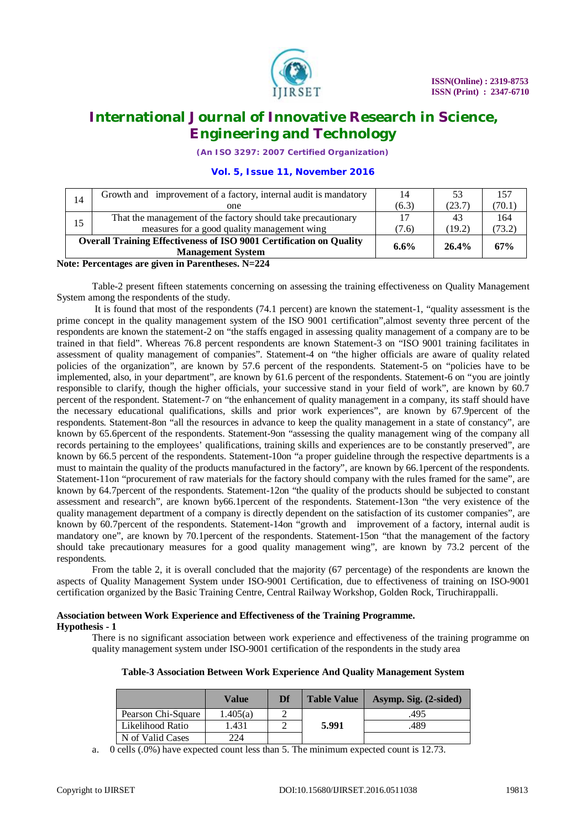

*(An ISO 3297: 2007 Certified Organization)*

### **Vol. 5, Issue 11, November 2016**

| 14 | Growth and improvement of a factory, internal audit is mandatory                                       | 14      | 53     | 157    |
|----|--------------------------------------------------------------------------------------------------------|---------|--------|--------|
|    | one                                                                                                    | (6.3)   | (23.7) | (70.1) |
| 15 | That the management of the factory should take precautionary                                           |         | 43     | 164    |
|    | measures for a good quality management wing                                                            | (7.6)   | (19.2) | (73.2) |
|    | <b>Overall Training Effectiveness of ISO 9001 Certification on Quality</b><br><b>Management System</b> | $6.6\%$ | 26.4%  | 67%    |

#### **Note: Percentages are given in Parentheses. N=224**

Table-2 present fifteen statements concerning on assessing the training effectiveness on Quality Management System among the respondents of the study.

It is found that most of the respondents (74.1 percent) are known the statement-1, "quality assessment is the prime concept in the quality management system of the ISO 9001 certification",almost seventy three percent of the respondents are known the statement-2 on "the staffs engaged in assessing quality management of a company are to be trained in that field". Whereas 76.8 percent respondents are known Statement-3 on "ISO 9001 training facilitates in assessment of quality management of companies". Statement-4 on "the higher officials are aware of quality related policies of the organization", are known by 57.6 percent of the respondents. Statement-5 on "policies have to be implemented, also, in your department", are known by 61.6 percent of the respondents. Statement-6 on "you are jointly responsible to clarify, though the higher officials, your successive stand in your field of work", are known by 60.7 percent of the respondent. Statement-7 on "the enhancement of quality management in a company, its staff should have the necessary educational qualifications, skills and prior work experiences", are known by 67.9percent of the respondents. Statement-8on "all the resources in advance to keep the quality management in a state of constancy", are known by 65.6percent of the respondents. Statement-9on "assessing the quality management wing of the company all records pertaining to the employees' qualifications, training skills and experiences are to be constantly preserved", are known by 66.5 percent of the respondents. Statement-10on "a proper guideline through the respective departments is a must to maintain the quality of the products manufactured in the factory", are known by 66.1percent of the respondents. Statement-11on "procurement of raw materials for the factory should company with the rules framed for the same", are known by 64.7percent of the respondents. Statement-12on "the quality of the products should be subjected to constant assessment and research", are known by66.1percent of the respondents. Statement-13on "the very existence of the quality management department of a company is directly dependent on the satisfaction of its customer companies", are known by 60.7percent of the respondents. Statement-14on "growth and improvement of a factory, internal audit is mandatory one", are known by 70.1percent of the respondents. Statement-15on "that the management of the factory should take precautionary measures for a good quality management wing", are known by 73.2 percent of the respondents.

From the table 2, it is overall concluded that the majority (67 percentage) of the respondents are known the aspects of Quality Management System under ISO-9001 Certification, due to effectiveness of training on ISO-9001 certification organized by the Basic Training Centre, Central Railway Workshop, Golden Rock, Tiruchirappalli.

# **Association between Work Experience and Effectiveness of the Training Programme.**

**Hypothesis - 1**

There is no significant association between work experience and effectiveness of the training programme on quality management system under ISO-9001 certification of the respondents in the study area

**Table-3 Association Between Work Experience And Quality Management System**

|                    | Value    | Df | <b>Table Value</b> | Asymp. Sig. (2-sided) |
|--------------------|----------|----|--------------------|-----------------------|
| Pearson Chi-Square | 1.405(a) |    |                    | .495                  |
| Likelihood Ratio   | 1.431    |    | 5.991              | 489                   |
| N of Valid Cases   | 224      |    |                    |                       |

a.  $0$  cells  $(.0\%)$  have expected count less than 5. The minimum expected count is 12.73.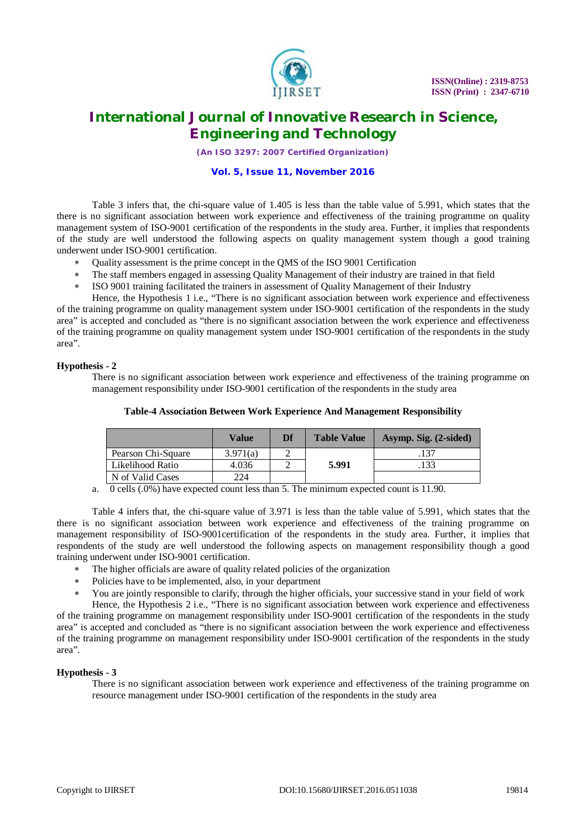

*(An ISO 3297: 2007 Certified Organization)*

#### **Vol. 5, Issue 11, November 2016**

Table 3 infers that, the chi-square value of 1.405 is less than the table value of 5.991, which states that the there is no significant association between work experience and effectiveness of the training programme on quality management system of ISO-9001 certification of the respondents in the study area. Further, it implies that respondents of the study are well understood the following aspects on quality management system though a good training underwent under ISO-9001 certification.

- Quality assessment is the prime concept in the QMS of the ISO 9001 Certification
- The staff members engaged in assessing Quality Management of their industry are trained in that field
- ISO 9001 training facilitated the trainers in assessment of Quality Management of their Industry

Hence, the Hypothesis 1 i.e., "There is no significant association between work experience and effectiveness of the training programme on quality management system under ISO-9001 certification of the respondents in the study area" is accepted and concluded as "there is no significant association between the work experience and effectiveness of the training programme on quality management system under ISO-9001 certification of the respondents in the study area".

### **Hypothesis - 2**

There is no significant association between work experience and effectiveness of the training programme on management responsibility under ISO-9001 certification of the respondents in the study area

|                    | Value    | Df | <b>Table Value</b> | Asymp. Sig. (2-sided) |
|--------------------|----------|----|--------------------|-----------------------|
| Pearson Chi-Square | 3.971(a) |    |                    | 137                   |
| Likelihood Ratio   | 4.036    |    | 5.991              | 133                   |
| N of Valid Cases   | 224      |    |                    |                       |

# **Table-4 Association Between Work Experience And Management Responsibility**

a. 0 cells (.0%) have expected count less than 5. The minimum expected count is 11.90.

Table 4 infers that, the chi-square value of 3.971 is less than the table value of 5.991, which states that the there is no significant association between work experience and effectiveness of the training programme on management responsibility of ISO-9001certification of the respondents in the study area. Further, it implies that respondents of the study are well understood the following aspects on management responsibility though a good training underwent under ISO-9001 certification.

- The higher officials are aware of quality related policies of the organization
- Policies have to be implemented, also, in your department
- You are jointly responsible to clarify, through the higher officials, your successive stand in your field of work

Hence, the Hypothesis 2 i.e., "There is no significant association between work experience and effectiveness of the training programme on management responsibility under ISO-9001 certification of the respondents in the study area" is accepted and concluded as "there is no significant association between the work experience and effectiveness of the training programme on management responsibility under ISO-9001 certification of the respondents in the study area".

### **Hypothesis - 3**

There is no significant association between work experience and effectiveness of the training programme on resource management under ISO-9001 certification of the respondents in the study area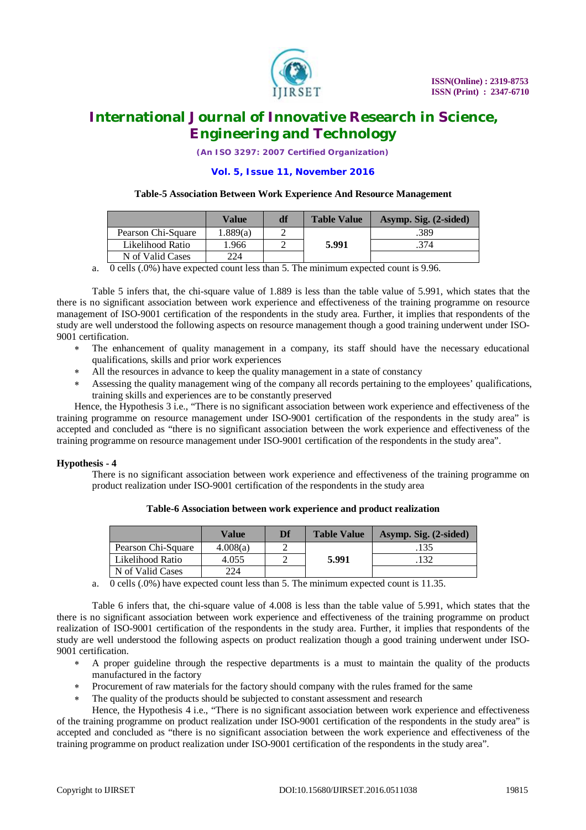

*(An ISO 3297: 2007 Certified Organization)*

#### **Vol. 5, Issue 11, November 2016**

#### **Table-5 Association Between Work Experience And Resource Management**

|                    | Value    | df | <b>Table Value</b> | Asymp. Sig. (2-sided) |
|--------------------|----------|----|--------------------|-----------------------|
| Pearson Chi-Square | 1.889(a) |    |                    | .389                  |
| Likelihood Ratio   | l.966    |    | 5.991              | .374                  |
| N of Valid Cases   | 224      |    |                    |                       |

a. 0 cells (.0%) have expected count less than 5. The minimum expected count is 9.96.

Table 5 infers that, the chi-square value of 1.889 is less than the table value of 5.991, which states that the there is no significant association between work experience and effectiveness of the training programme on resource management of ISO-9001 certification of the respondents in the study area. Further, it implies that respondents of the study are well understood the following aspects on resource management though a good training underwent under ISO-9001 certification.

- The enhancement of quality management in a company, its staff should have the necessary educational qualifications, skills and prior work experiences
- All the resources in advance to keep the quality management in a state of constancy
- Assessing the quality management wing of the company all records pertaining to the employees' qualifications, training skills and experiences are to be constantly preserved

Hence, the Hypothesis 3 i.e., "There is no significant association between work experience and effectiveness of the training programme on resource management under ISO-9001 certification of the respondents in the study area" is accepted and concluded as "there is no significant association between the work experience and effectiveness of the training programme on resource management under ISO-9001 certification of the respondents in the study area".

### **Hypothesis - 4**

There is no significant association between work experience and effectiveness of the training programme on product realization under ISO-9001 certification of the respondents in the study area

|                    | Value    | Df | <b>Table Value</b> | Asymp. Sig. (2-sided) |
|--------------------|----------|----|--------------------|-----------------------|
| Pearson Chi-Square | 4.008(a) |    |                    | .135                  |
| Likelihood Ratio   | 4.055    |    | 5.991              | .132                  |
| N of Valid Cases   | 224      |    |                    |                       |

**Table-6 Association between work experience and product realization**

a. 0 cells (.0%) have expected count less than 5. The minimum expected count is 11.35.

Table 6 infers that, the chi-square value of 4.008 is less than the table value of 5.991, which states that the there is no significant association between work experience and effectiveness of the training programme on product realization of ISO-9001 certification of the respondents in the study area. Further, it implies that respondents of the study are well understood the following aspects on product realization though a good training underwent under ISO-9001 certification.

- A proper guideline through the respective departments is a must to maintain the quality of the products manufactured in the factory
- Procurement of raw materials for the factory should company with the rules framed for the same
- The quality of the products should be subjected to constant assessment and research

Hence, the Hypothesis 4 i.e., "There is no significant association between work experience and effectiveness of the training programme on product realization under ISO-9001 certification of the respondents in the study area" is accepted and concluded as "there is no significant association between the work experience and effectiveness of the training programme on product realization under ISO-9001 certification of the respondents in the study area".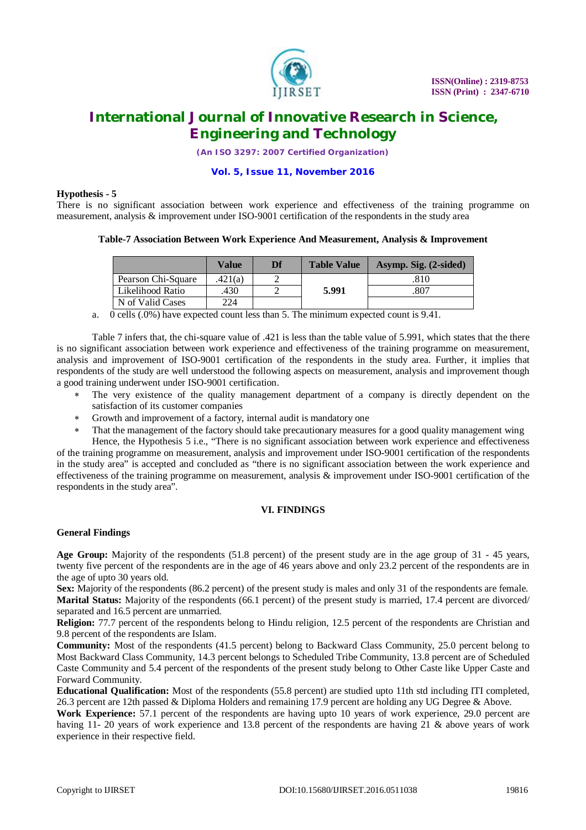

*(An ISO 3297: 2007 Certified Organization)*

#### **Vol. 5, Issue 11, November 2016**

#### **Hypothesis - 5**

There is no significant association between work experience and effectiveness of the training programme on measurement, analysis & improvement under ISO-9001 certification of the respondents in the study area

### **Table-7 Association Between Work Experience And Measurement, Analysis & Improvement**

|                    | <b>Value</b> | Df | <b>Table Value</b> | Asymp. Sig. (2-sided) |
|--------------------|--------------|----|--------------------|-----------------------|
| Pearson Chi-Square | .421(a)      |    |                    | .810                  |
| Likelihood Ratio   | 430          |    | 5.991              | .807                  |
| N of Valid Cases   | 224          |    |                    |                       |

a. 0 cells (.0%) have expected count less than 5. The minimum expected count is 9.41.

Table 7 infers that, the chi-square value of .421 is less than the table value of 5.991, which states that the there is no significant association between work experience and effectiveness of the training programme on measurement, analysis and improvement of ISO-9001 certification of the respondents in the study area. Further, it implies that respondents of the study are well understood the following aspects on measurement, analysis and improvement though a good training underwent under ISO-9001 certification.

- The very existence of the quality management department of a company is directly dependent on the satisfaction of its customer companies
- Growth and improvement of a factory, internal audit is mandatory one
- That the management of the factory should take precautionary measures for a good quality management wing Hence, the Hypothesis 5 i.e., "There is no significant association between work experience and effectiveness

of the training programme on measurement, analysis and improvement under ISO-9001 certification of the respondents in the study area" is accepted and concluded as "there is no significant association between the work experience and effectiveness of the training programme on measurement, analysis  $\&$  improvement under ISO-9001 certification of the respondents in the study area".

### **VI. FINDINGS**

# **General Findings**

**Age Group:** Majority of the respondents (51.8 percent) of the present study are in the age group of 31 - 45 years, twenty five percent of the respondents are in the age of 46 years above and only 23.2 percent of the respondents are in the age of upto 30 years old.

**Sex:** Majority of the respondents (86.2 percent) of the present study is males and only 31 of the respondents are female. **Marital Status:** Majority of the respondents (66.1 percent) of the present study is married, 17.4 percent are divorced/ separated and 16.5 percent are unmarried.

**Religion:** 77.7 percent of the respondents belong to Hindu religion, 12.5 percent of the respondents are Christian and 9.8 percent of the respondents are Islam.

**Community:** Most of the respondents (41.5 percent) belong to Backward Class Community, 25.0 percent belong to Most Backward Class Community, 14.3 percent belongs to Scheduled Tribe Community, 13.8 percent are of Scheduled Caste Community and 5.4 percent of the respondents of the present study belong to Other Caste like Upper Caste and Forward Community.

**Educational Qualification:** Most of the respondents (55.8 percent) are studied upto 11th std including ITI completed, 26.3 percent are 12th passed & Diploma Holders and remaining 17.9 percent are holding any UG Degree & Above.

**Work Experience:** 57.1 percent of the respondents are having upto 10 years of work experience, 29.0 percent are having 11- 20 years of work experience and 13.8 percent of the respondents are having 21 & above years of work experience in their respective field.